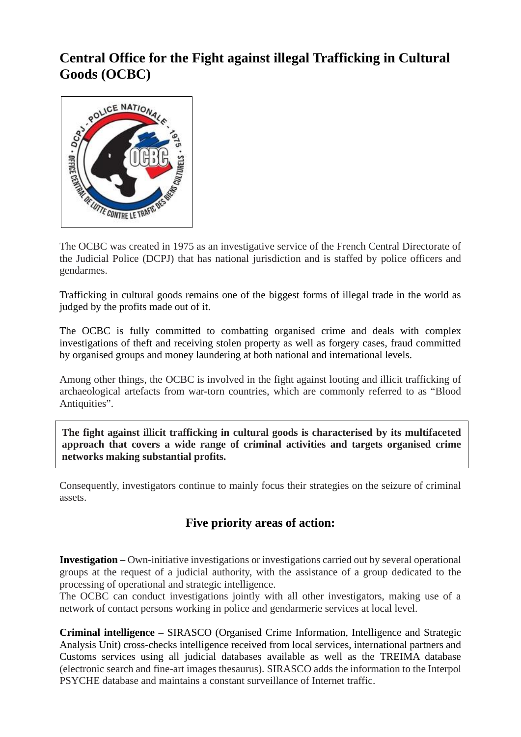## **Central Office for the Fight against illegal Trafficking in Cultural Goods (OCBC)**



The OCBC was created in 1975 as an investigative service of the French Central Directorate of the Judicial Police (DCPJ) that has national jurisdiction and is staffed by police officers and gendarmes.

Trafficking in cultural goods remains one of the biggest forms of illegal trade in the world as judged by the profits made out of it.

The OCBC is fully committed to combatting organised crime and deals with complex investigations of theft and receiving stolen property as well as forgery cases, fraud committed by organised groups and money laundering at both national and international levels.

Among other things, the OCBC is involved in the fight against looting and illicit trafficking of archaeological artefacts from war-torn countries, which are commonly referred to as "Blood Antiquities".

**The fight against illicit trafficking in cultural goods is characterised by its multifaceted approach that covers a wide range of criminal activities and targets organised crime networks making substantial profits.**

Consequently, investigators continue to mainly focus their strategies on the seizure of criminal assets.

## **Five priority areas of action:**

**Investigation –** Own-initiative investigations or investigations carried out by several operational groups at the request of a judicial authority, with the assistance of a group dedicated to the processing of operational and strategic intelligence.

The OCBC can conduct investigations jointly with all other investigators, making use of a network of contact persons working in police and gendarmerie services at local level.

**Criminal intelligence –** SIRASCO (Organised Crime Information, Intelligence and Strategic Analysis Unit) cross-checks intelligence received from local services, international partners and Customs services using all judicial databases available as well as the TREIMA database (electronic search and fine-art images thesaurus). SIRASCO adds the information to the Interpol PSYCHE database and maintains a constant surveillance of Internet traffic.